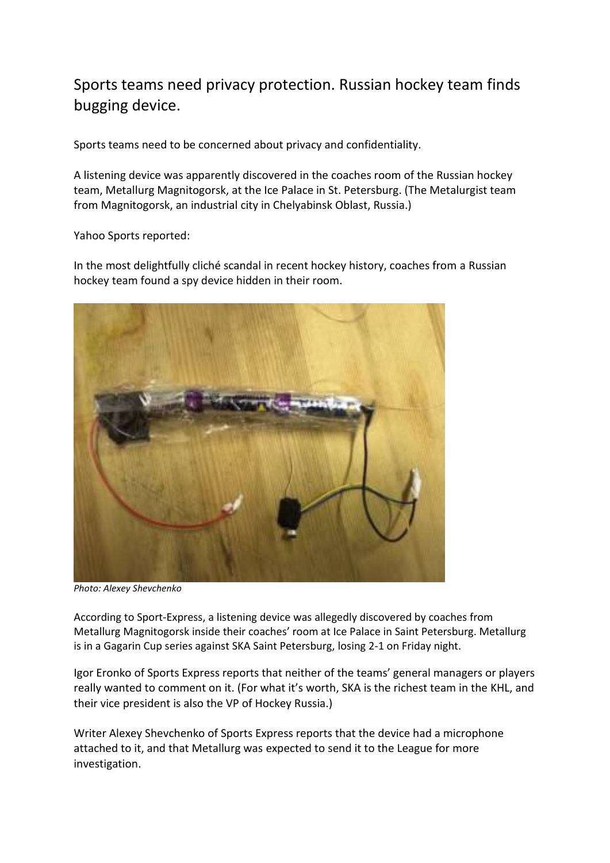## Sports teams need privacy protection. Russian hockey team finds bugging device.

Sports teams need to be concerned about privacy and confidentiality.

A listening device was apparently discovered in the coaches room of the Russian hockey team, Metallurg Magnitogorsk, at the Ice Palace in St. Petersburg. (The Metalurgist team from Magnitogorsk, an industrial city in Chelyabinsk Oblast, Russia.)

Yahoo Sports reported:

In the most delightfully cliché scandal in recent hockey history, coaches from a Russian hockey team found a spy device hidden in their room.



*Photo: [Alexey Shevchenko](http://www.sport-express.ru/hockey/khl/news/aleksey-shevchenko-v-trenerskoy-magnitki-nashli-ustroystvo-s-mikrofonom-1243309/)*

[According to Sport-Express,](http://www.sport-express.ru/hockey/khl/news/aleksey-shevchenko-v-trenerskoy-magnitki-nashli-ustroystvo-s-mikrofonom-1243309/) a listening device was allegedly discovered by coaches from Metallurg Magnitogorsk inside their coaches' room at Ice Palace in Saint Petersburg. Metallurg is in a Gagarin Cup series against SKA Saint Petersburg, [losing 2-1 on Friday night.](http://en.khl.ru/game/406/54881/resume/)

Igor Eronko of Sports Express reports that neither of the teams' general managers or players really wanted to comment on it. (For what it's worth, SKA is the richest team in the KHL, and their vice president is also the VP of Hockey Russia.)

Writer Alexey Shevchenko of Sports Express reports that the device had a microphone attached to it, and that Metallurg was expected to send it to the League for more investigation.